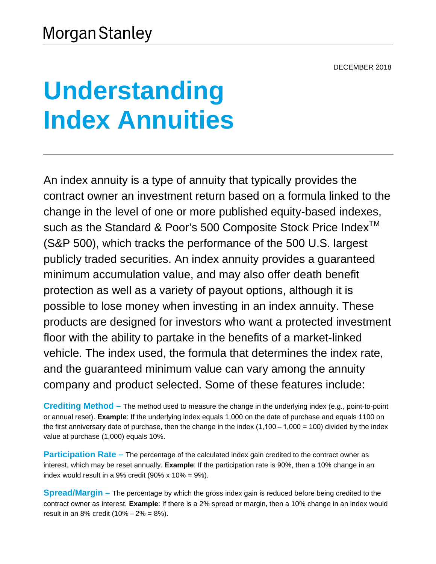# **Understanding Index Annuities**

An index annuity is a type of annuity that typically provides the contract owner an investment return based on a formula linked to the change in the level of one or more published equity-based indexes, such as the Standard & Poor's 500 Composite Stock Price Index<sup>™</sup> (S&P 500), which tracks the performance of the 500 U.S. largest publicly traded securities. An index annuity provides a guaranteed minimum accumulation value, and may also offer death benefit protection as well as a variety of payout options, although it is possible to lose money when investing in an index annuity. These products are designed for investors who want a protected investment floor with the ability to partake in the benefits of a market-linked vehicle. The index used, the formula that determines the index rate, and the guaranteed minimum value can vary among the annuity company and product selected. Some of these features include:

**Crediting Method –** The method used to measure the change in the underlying index (e.g., point-to-point or annual reset). **Example**: If the underlying index equals 1,000 on the date of purchase and equals 1100 on the first anniversary date of purchase, then the change in the index  $(1,100-1,000 = 100)$  divided by the index value at purchase (1,000) equals 10%.

**Participation Rate** – The percentage of the calculated index gain credited to the contract owner as interest, which may be reset annually. **Example**: If the participation rate is 90%, then a 10% change in an index would result in a 9% credit  $(90\% \times 10\% = 9\%).$ 

**Spread/Margin –** The percentage by which the gross index gain is reduced before being credited to the contract owner as interest. **Example**: If there is a 2% spread or margin, then a 10% change in an index would result in an 8% credit  $(10% - 2\% = 8\%).$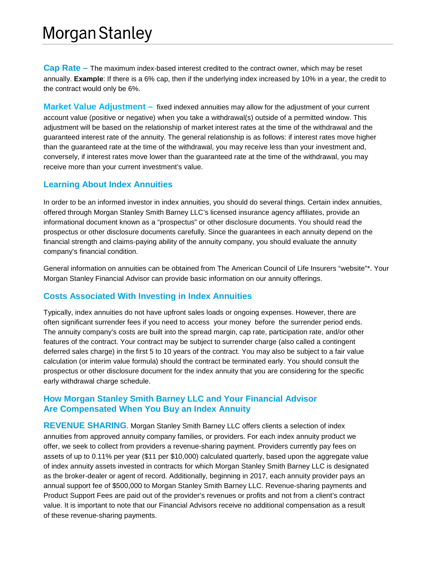## **Morgan Stanley**

**Cap Rate –** The maximum index-based interest credited to the contract owner, which may be reset annually. **Example**: If there is a 6% cap, then if the underlying index increased by 10% in a year, the credit to the contract would only be 6%.

**Market Value Adjustment –** fixed indexed annuities may allow for the adjustment of your current account value (positive or negative) when you take a withdrawal(s) outside of a permitted window. This adjustment will be based on the relationship of market interest rates at the time of the withdrawal and the guaranteed interest rate of the annuity. The general relationship is as follows: if interest rates move higher than the guaranteed rate at the time of the withdrawal, you may receive less than your investment and, conversely, if interest rates move lower than the guaranteed rate at the time of the withdrawal, you may receive more than your current investment's value.

#### **Learning About Index Annuities**

In order to be an informed investor in index annuities, you should do several things. Certain index annuities, offered through Morgan Stanley Smith Barney LLC's licensed insurance agency affiliates, provide an informational document known as a "prospectus" or other disclosure documents. You should read the prospectus or other disclosure documents carefully. Since the guarantees in each annuity depend on the financial strength and claims-paying ability of the annuity company, you should evaluate the annuity company's financial condition.

General information on annuities can be obtained from The American Council of Life Insurers "website"\*. Your Morgan Stanley Financial Advisor can provide basic information on our annuity offerings.

### **Costs Associated With Investing in Index Annuities**

Typically, index annuities do not have upfront sales loads or ongoing expenses. However, there are often significant surrender fees if you need to access your money before the surrender period ends. The annuity company's costs are built into the spread margin, cap rate, participation rate, and/or other features of the contract. Your contract may be subject to surrender charge (also called a contingent deferred sales charge) in the first 5 to 10 years of the contract. You may also be subject to a fair value calculation (or interim value formula) should the contract be terminated early. You should consult the prospectus or other disclosure document for the index annuity that you are considering for the specific early withdrawal charge schedule.

#### **How Morgan Stanley Smith Barney LLC and Your Financial Advisor Are Compensated When You Buy an Index Annuity**

**REVENUE SHARING**. Morgan Stanley Smith Barney LLC offers clients a selection of index annuities from approved annuity company families, or providers. For each index annuity product we offer, we seek to collect from providers a revenue-sharing payment. Providers currently pay fees on assets of up to 0.11% per year (\$11 per \$10,000) calculated quarterly, based upon the aggregate value of index annuity assets invested in contracts for which Morgan Stanley Smith Barney LLC is designated as the broker-dealer or agent of record. Additionally, beginning in 2017, each annuity provider pays an annual support fee of \$500,000 to Morgan Stanley Smith Barney LLC. Revenue-sharing payments and Product Support Fees are paid out of the provider's revenues or profits and not from a client's contract value. It is important to note that our Financial Advisors receive no additional compensation as a result of these revenue-sharing payments.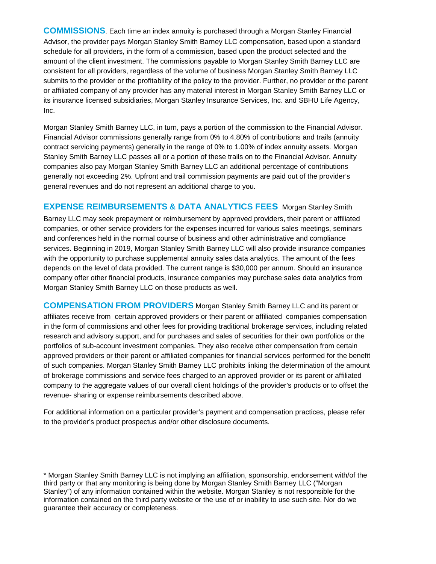**COMMISSIONS**. Each time an index annuity is purchased through a Morgan Stanley Financial Advisor, the provider pays Morgan Stanley Smith Barney LLC compensation, based upon a standard schedule for all providers, in the form of a commission, based upon the product selected and the amount of the client investment. The commissions payable to Morgan Stanley Smith Barney LLC are consistent for all providers, regardless of the volume of business Morgan Stanley Smith Barney LLC submits to the provider or the profitability of the policy to the provider. Further, no provider or the parent or affiliated company of any provider has any material interest in Morgan Stanley Smith Barney LLC or its insurance licensed subsidiaries, Morgan Stanley Insurance Services, Inc. and SBHU Life Agency, Inc.

Morgan Stanley Smith Barney LLC, in turn, pays a portion of the commission to the Financial Advisor. Financial Advisor commissions generally range from 0% to 4.80% of contributions and trails (annuity contract servicing payments) generally in the range of 0% to 1.00% of index annuity assets. Morgan Stanley Smith Barney LLC passes all or a portion of these trails on to the Financial Advisor. Annuity companies also pay Morgan Stanley Smith Barney LLC an additional percentage of contributions generally not exceeding 2%. Upfront and trail commission payments are paid out of the provider's general revenues and do not represent an additional charge to you.

#### **EXPENSE REIMBURSEMENTS & DATA ANALYTICS FEEs** Morgan Stanley Smith

Barney LLC may seek prepayment or reimbursement by approved providers, their parent or affiliated companies, or other service providers for the expenses incurred for various sales meetings, seminars and conferences held in the normal course of business and other administrative and compliance services. Beginning in 2019, Morgan Stanley Smith Barney LLC will also provide insurance companies with the opportunity to purchase supplemental annuity sales data analytics. The amount of the fees depends on the level of data provided. The current range is \$30,000 per annum. Should an insurance company offer other financial products, insurance companies may purchase sales data analytics from Morgan Stanley Smith Barney LLC on those products as well.

**COMPENSATION FROM PROVIDERS** Morgan Stanley Smith Barney LLC and its parent or affiliates receive from certain approved providers or their parent or affiliated companies compensation in the form of commissions and other fees for providing traditional brokerage services, including related research and advisory support, and for purchases and sales of securities for their own portfolios or the portfolios of sub-account investment companies. They also receive other compensation from certain approved providers or their parent or affiliated companies for financial services performed for the benefit of such companies. Morgan Stanley Smith Barney LLC prohibits linking the determination of the amount of brokerage commissions and service fees charged to an approved provider or its parent or affiliated company to the aggregate values of our overall client holdings of the provider's products or to offset the revenue- sharing or expense reimbursements described above.

For additional information on a particular provider's payment and compensation practices, please refer to the provider's product prospectus and/or other disclosure documents.

\* Morgan Stanley Smith Barney LLC is not implying an affiliation, sponsorship, endorsement with/of the third party or that any monitoring is being done by Morgan Stanley Smith Barney LLC ("Morgan Stanley") of any information contained within the website. Morgan Stanley is not responsible for the information contained on the third party website or the use of or inability to use such site. Nor do we guarantee their accuracy or completeness.